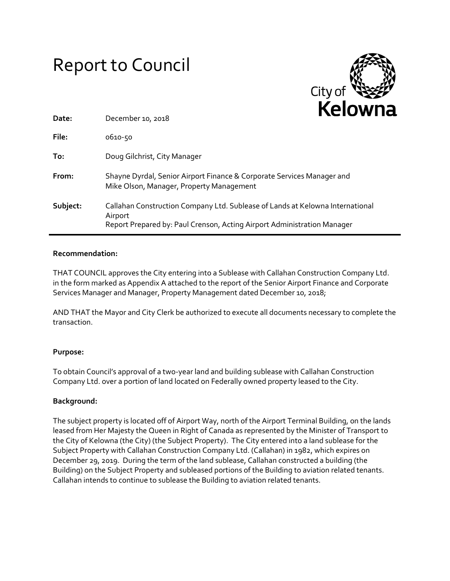# Report to Council



| Date:    | December 10, 2018                                                                                                                                                   |
|----------|---------------------------------------------------------------------------------------------------------------------------------------------------------------------|
| File:    | 0610-50                                                                                                                                                             |
| To:      | Doug Gilchrist, City Manager                                                                                                                                        |
| From:    | Shayne Dyrdal, Senior Airport Finance & Corporate Services Manager and<br>Mike Olson, Manager, Property Management                                                  |
| Subject: | Callahan Construction Company Ltd. Sublease of Lands at Kelowna International<br>Airport<br>Report Prepared by: Paul Crenson, Acting Airport Administration Manager |

## **Recommendation:**

THAT COUNCIL approves the City entering into a Sublease with Callahan Construction Company Ltd. in the form marked as Appendix A attached to the report of the Senior Airport Finance and Corporate Services Manager and Manager, Property Management dated December 10, 2018;

AND THAT the Mayor and City Clerk be authorized to execute all documents necessary to complete the transaction.

### **Purpose:**

To obtain Council's approval of a two-year land and building sublease with Callahan Construction Company Ltd. over a portion of land located on Federally owned property leased to the City.

# **Background:**

The subject property is located off of Airport Way, north of the Airport Terminal Building, on the lands leased from Her Majesty the Queen in Right of Canada as represented by the Minister of Transport to the City of Kelowna (the City) (the Subject Property). The City entered into a land sublease for the Subject Property with Callahan Construction Company Ltd. (Callahan) in 1982, which expires on December 29, 2019. During the term of the land sublease, Callahan constructed a building (the Building) on the Subject Property and subleased portions of the Building to aviation related tenants. Callahan intends to continue to sublease the Building to aviation related tenants.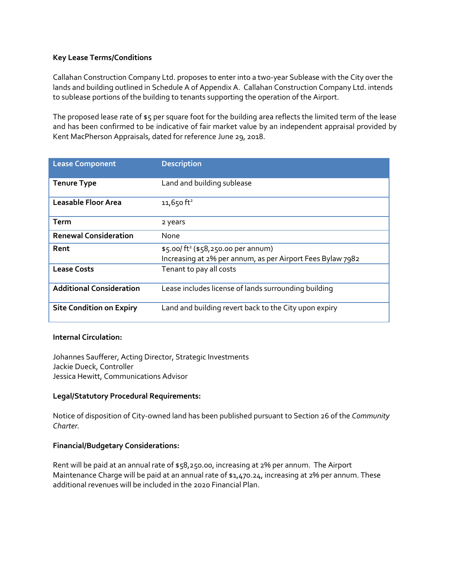## **Key Lease Terms/Conditions**

Callahan Construction Company Ltd. proposes to enter into a two-year Sublease with the City over the lands and building outlined in Schedule A of Appendix A. Callahan Construction Company Ltd. intends to sublease portions of the building to tenants supporting the operation of the Airport.

The proposed lease rate of \$5 per square foot for the building area reflects the limited term of the lease and has been confirmed to be indicative of fair market value by an independent appraisal provided by Kent MacPherson Appraisals, dated for reference June 29, 2018.

| <b>Lease Component</b>          | <b>Description</b>                                                                                           |
|---------------------------------|--------------------------------------------------------------------------------------------------------------|
| <b>Tenure Type</b>              | Land and building sublease                                                                                   |
| <b>Leasable Floor Area</b>      | $11,650$ ft <sup>2</sup>                                                                                     |
| Term                            | 2 years                                                                                                      |
| <b>Renewal Consideration</b>    | None                                                                                                         |
| Rent                            | \$5.00/ft <sup>2</sup> (\$58,250.00 per annum)<br>Increasing at 2% per annum, as per Airport Fees Bylaw 7982 |
| <b>Lease Costs</b>              | Tenant to pay all costs                                                                                      |
| <b>Additional Consideration</b> | Lease includes license of lands surrounding building                                                         |
| <b>Site Condition on Expiry</b> | Land and building revert back to the City upon expiry                                                        |

### **Internal Circulation:**

Johannes Saufferer, Acting Director, Strategic Investments Jackie Dueck, Controller Jessica Hewitt, Communications Advisor

### **Legal/Statutory Procedural Requirements:**

Notice of disposition of City-owned land has been published pursuant to Section 26 of the *Community Charter.*

# **Financial/Budgetary Considerations:**

Rent will be paid at an annual rate of \$58,250.00, increasing at 2% per annum. The Airport Maintenance Charge will be paid at an annual rate of \$1,470.24, increasing at 2% per annum. These additional revenues will be included in the 2020 Financial Plan.